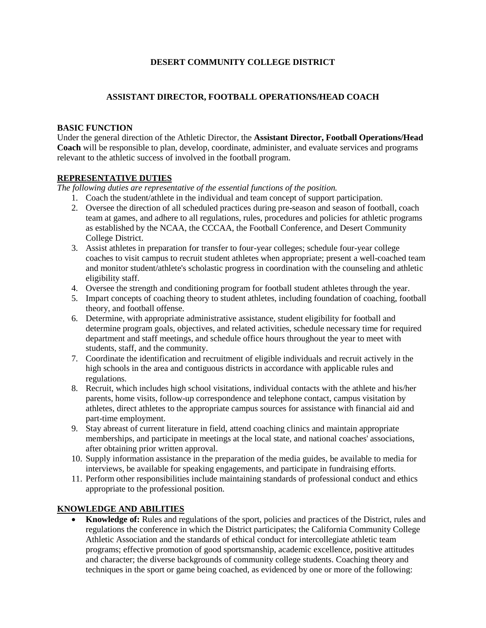#### **DESERT COMMUNITY COLLEGE DISTRICT**

#### **ASSISTANT DIRECTOR, FOOTBALL OPERATIONS/HEAD COACH**

#### **BASIC FUNCTION**

Under the general direction of the Athletic Director, the **Assistant Director, Football Operations/Head Coach** will be responsible to plan, develop, coordinate, administer, and evaluate services and programs relevant to the athletic success of involved in the football program.

#### **REPRESENTATIVE DUTIES**

*The following duties are representative of the essential functions of the position.*

- 1. Coach the student/athlete in the individual and team concept of support participation.
- 2. Oversee the direction of all scheduled practices during pre-season and season of football, coach team at games, and adhere to all regulations, rules, procedures and policies for athletic programs as established by the NCAA, the CCCAA, the Football Conference, and Desert Community College District.
- 3. Assist athletes in preparation for transfer to four-year colleges; schedule four-year college coaches to visit campus to recruit student athletes when appropriate; present a well-coached team and monitor student/athlete's scholastic progress in coordination with the counseling and athletic eligibility staff.
- 4. Oversee the strength and conditioning program for football student athletes through the year.
- 5. Impart concepts of coaching theory to student athletes, including foundation of coaching, football theory, and football offense.
- 6. Determine, with appropriate administrative assistance, student eligibility for football and determine program goals, objectives, and related activities, schedule necessary time for required department and staff meetings, and schedule office hours throughout the year to meet with students, staff, and the community.
- 7. Coordinate the identification and recruitment of eligible individuals and recruit actively in the high schools in the area and contiguous districts in accordance with applicable rules and regulations.
- 8. Recruit, which includes high school visitations, individual contacts with the athlete and his/her parents, home visits, follow-up correspondence and telephone contact, campus visitation by athletes, direct athletes to the appropriate campus sources for assistance with financial aid and part-time employment.
- 9. Stay abreast of current literature in field, attend coaching clinics and maintain appropriate memberships, and participate in meetings at the local state, and national coaches' associations, after obtaining prior written approval.
- 10. Supply information assistance in the preparation of the media guides, be available to media for interviews, be available for speaking engagements, and participate in fundraising efforts.
- 11. Perform other responsibilities include maintaining standards of professional conduct and ethics appropriate to the professional position.

#### **KNOWLEDGE AND ABILITIES**

 **Knowledge of:** Rules and regulations of the sport, policies and practices of the District, rules and regulations the conference in which the District participates; the California Community College Athletic Association and the standards of ethical conduct for intercollegiate athletic team programs; effective promotion of good sportsmanship, academic excellence, positive attitudes and character; the diverse backgrounds of community college students. Coaching theory and techniques in the sport or game being coached, as evidenced by one or more of the following: